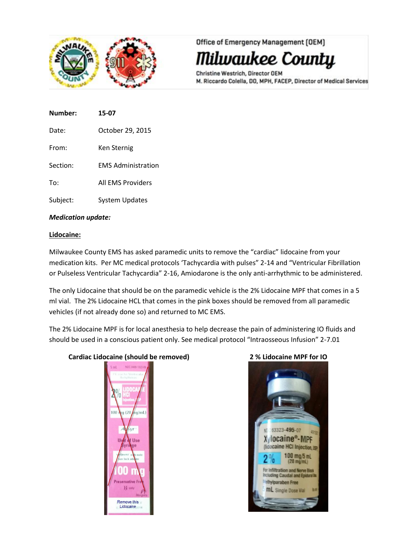

Office of Emergency Management [OEM]

Milwaukee County

Christine Westrich, Director OEM M. Riccardo Colella, DO, MPH, FACEP, Director of Medical Services

| Number:  | 15-07                     |
|----------|---------------------------|
| Date:    | October 29, 2015          |
| From:    | Ken Sternig               |
| Section: | <b>EMS Administration</b> |
| To:      | All FMS Providers         |
|          |                           |

Subject: System Updates

# *Medication update:*

# **Lidocaine:**

Milwaukee County EMS has asked paramedic units to remove the "cardiac" lidocaine from your medication kits. Per MC medical protocols 'Tachycardia with pulses" 2-14 and "Ventricular Fibrillation or Pulseless Ventricular Tachycardia" 2-16, Amiodarone is the only anti-arrhythmic to be administered.

The only Lidocaine that should be on the paramedic vehicle is the 2% Lidocaine MPF that comes in a 5 ml vial. The 2% Lidocaine HCL that comes in the pink boxes should be removed from all paramedic vehicles (if not already done so) and returned to MC EMS.

The 2% Lidocaine MPF is for local anesthesia to help decrease the pain of administering IO fluids and should be used in a conscious patient only. See medical protocol "Intraosseous Infusion" 2-7.01

# **Cardiac Lidocaine (should be removed) 2 % Lidocaine MPF for IO**



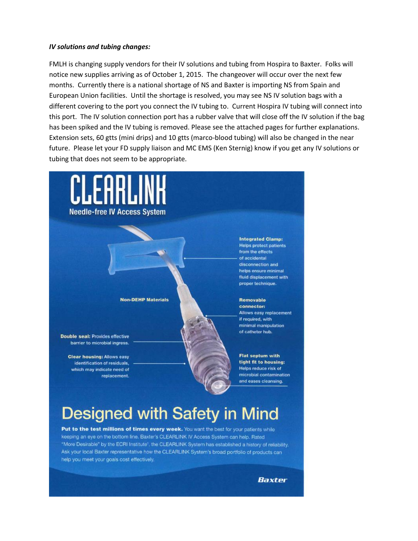## *IV solutions and tubing changes:*

FMLH is changing supply vendors for their IV solutions and tubing from Hospira to Baxter. Folks will notice new supplies arriving as of October 1, 2015. The changeover will occur over the next few months. Currently there is a national shortage of NS and Baxter is importing NS from Spain and European Union facilities. Until the shortage is resolved, you may see NS IV solution bags with a different covering to the port you connect the IV tubing to. Current Hospira IV tubing will connect into this port. The IV solution connection port has a rubber valve that will close off the IV solution if the bag has been spiked and the IV tubing is removed. Please see the attached pages for further explanations. Extension sets, 60 gtts (mini drips) and 10 gtts (marco-blood tubing) will also be changed in the near future. Please let your FD supply liaison and MC EMS (Ken Sternig) know if you get any IV solutions or tubing that does not seem to be appropriate.



# **Designed with Safety in Mind**

Put to the test millions of times every week. You want the best for your patients while keeping an eye on the bottom line. Baxter's CLEARLINK IV Access System can help. Rated "More Desirable" by the ECRI Institute1, the CLEARLINK System has established a history of reliability. Ask your local Baxter representative how the CLEARLINK System's broad portfolio of products can help you meet your goals cost effectively.

Baxter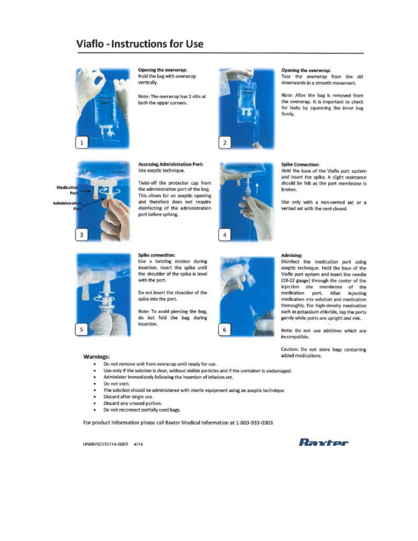# **Viaflo - Instructions for Use**



Opening the overwrap: Hold the bag with overwrap vertically.

Note: The overwrap has 2 slits at both the upper corners.



### Opening the overwrap:

Tear the overwrap from the slit downwards in a smooth movement.

Note: After the bag is removed from the overwrap. It is important to check for leaks by squeezing the inner bag firmly.



#### **Accessing Administration Port:** Use aseptic technique.

Twist-off the protector cap from the administration port of the bag. This allows for an aseptic opening and therefore does not require disinfecting of the administration port before spiking.



#### **Spike Connection:**

Hold the base of the Viaflo port system and insert the spike. A slight resistance should be felt as the port membrane is broken.

Use only with a non-vented set or a vented set with the vent closed.



#### Spike connection:

Use a twisting motion during insertion. Insert the spike until the shoulder of the spike is level with the port.

Do not insert the shoulder of the spike into the port.

Note: To avoid piercing the bag, do not fold the bag during insertion.



### Admixing:

Disinfect the medication port using aseptic technique. Hold the base of the Viaflo port system and insert the needle (19-22 gauge) through the center of the injection site membrane of the medication port. After injecting medication mix solution and medication thoroughly. For high-density medication such as potassium chloride, tap the ports gently while ports are upright and mix.

Note: Do not use additives which are incompatible.

Caution: Do not store bags containing added medications.

#### **Warnings:**

- Do not remove unit from overwrap until ready for use.
- Use only if the solution is clear, without visible particles and if the container is undamaged.
- Administer immediately following the insertion of infusion set.
- Do not vent.
- The solution should be administered with sterile equipment using an aseptic technique.
- Discard after single use.
- Discard any unused portion. ٠
- Do not reconnect partially used bags.

For product information please call Baxter Medical Information at 1-800-933-0303

USMP/SG152/14-0002 4/14